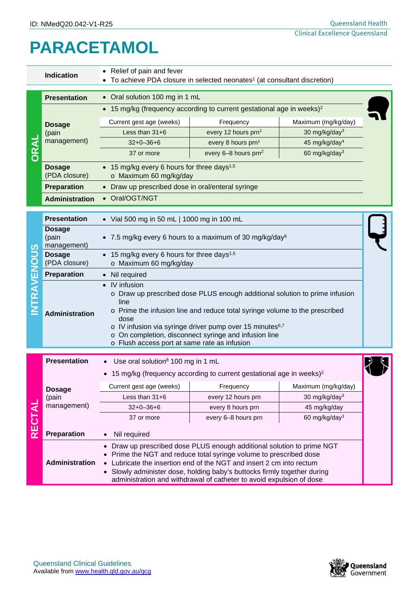## **PARACETAMOL**

|                 | <b>Indication</b>                     | Relief of pain and fever<br>To achieve PDA closure in selected neonates <sup>1</sup> (at consultant discretion)                                                                                                                                                                                                                                                                       |                                                             |                           |  |  |  |  |
|-----------------|---------------------------------------|---------------------------------------------------------------------------------------------------------------------------------------------------------------------------------------------------------------------------------------------------------------------------------------------------------------------------------------------------------------------------------------|-------------------------------------------------------------|---------------------------|--|--|--|--|
|                 | <b>Presentation</b>                   | • Oral solution 100 mg in 1 mL                                                                                                                                                                                                                                                                                                                                                        |                                                             |                           |  |  |  |  |
| ORAL            | <b>Dosage</b><br>(pain<br>management) | 15 mg/kg (frequency according to current gestational age in weeks) <sup>2</sup>                                                                                                                                                                                                                                                                                                       |                                                             |                           |  |  |  |  |
|                 |                                       | Current gest age (weeks)<br>Frequency                                                                                                                                                                                                                                                                                                                                                 |                                                             | Maximum (mg/kg/day)       |  |  |  |  |
|                 |                                       | Less than 31+6                                                                                                                                                                                                                                                                                                                                                                        | every 12 hours prn1                                         | 30 mg/kg/day <sup>3</sup> |  |  |  |  |
|                 |                                       | $32+0-36+6$                                                                                                                                                                                                                                                                                                                                                                           | every 8 hours prn <sup>1</sup><br>45 mg/kg/day <sup>4</sup> |                           |  |  |  |  |
|                 |                                       | 37 or more                                                                                                                                                                                                                                                                                                                                                                            | every 6-8 hours prn <sup>2</sup>                            | 60 mg/kg/day <sup>3</sup> |  |  |  |  |
|                 | <b>Dosage</b><br>(PDA closure)        | • 15 mg/kg every 6 hours for three days <sup>1,5</sup><br>o Maximum 60 mg/kg/day                                                                                                                                                                                                                                                                                                      |                                                             |                           |  |  |  |  |
|                 | <b>Preparation</b>                    | • Draw up prescribed dose in oral/enteral syringe                                                                                                                                                                                                                                                                                                                                     |                                                             |                           |  |  |  |  |
|                 | <b>Administration</b>                 | • Oral/OGT/NGT                                                                                                                                                                                                                                                                                                                                                                        |                                                             |                           |  |  |  |  |
| ທ<br>O<br>RAVEN | <b>Presentation</b>                   | • Vial 500 mg in 50 mL   1000 mg in 100 mL                                                                                                                                                                                                                                                                                                                                            |                                                             |                           |  |  |  |  |
|                 | <b>Dosage</b><br>(pain<br>management) | • 7.5 mg/kg every 6 hours to a maximum of 30 mg/kg/day $6$                                                                                                                                                                                                                                                                                                                            |                                                             |                           |  |  |  |  |
|                 | <b>Dosage</b><br>(PDA closure)        | • 15 mg/kg every 6 hours for three days <sup>1,5</sup><br>o Maximum 60 mg/kg/day                                                                                                                                                                                                                                                                                                      |                                                             |                           |  |  |  |  |
|                 | Preparation                           | Nil required                                                                                                                                                                                                                                                                                                                                                                          |                                                             |                           |  |  |  |  |
|                 | <b>Administration</b>                 | IV infusion<br>$\bullet$<br>o Draw up prescribed dose PLUS enough additional solution to prime infusion<br>line<br>Prime the infusion line and reduce total syringe volume to the prescribed<br>dose<br>o IV infusion via syringe driver pump over 15 minutes <sup>6,7</sup><br>o On completion, disconnect syringe and infusion line<br>o Flush access port at same rate as infusion |                                                             |                           |  |  |  |  |
|                 | <b>Presentation</b>                   | Use oral solution <sup>8</sup> 100 mg in 1 mL                                                                                                                                                                                                                                                                                                                                         |                                                             |                           |  |  |  |  |
|                 |                                       | • 15 mg/kg (frequency according to current gestational age in weeks) <sup>2</sup>                                                                                                                                                                                                                                                                                                     |                                                             |                           |  |  |  |  |
|                 | <b>Dosage</b><br>(pain<br>management) | Current gest age (weeks)                                                                                                                                                                                                                                                                                                                                                              | Frequency                                                   | Maximum (mg/kg/day)       |  |  |  |  |
| <b>RECTAL</b>   |                                       | Less than 31+6                                                                                                                                                                                                                                                                                                                                                                        | every 12 hours prn                                          | 30 mg/kg/day <sup>3</sup> |  |  |  |  |
|                 |                                       | $32+0-36+6$                                                                                                                                                                                                                                                                                                                                                                           | every 8 hours prn                                           | 45 mg/kg/day              |  |  |  |  |
|                 |                                       | 37 or more                                                                                                                                                                                                                                                                                                                                                                            | every 6-8 hours prn                                         | 60 mg/kg/day <sup>3</sup> |  |  |  |  |
|                 | Preparation                           | Nil required                                                                                                                                                                                                                                                                                                                                                                          |                                                             |                           |  |  |  |  |
|                 | Administration                        | Draw up prescribed dose PLUS enough additional solution to prime NGT<br>Prime the NGT and reduce total syringe volume to prescribed dose<br>Lubricate the insertion end of the NGT and insert 2 cm into rectum<br>Slowly administer dose, holding baby's buttocks firmly together during<br>administration and withdrawal of catheter to avoid expulsion of dose                      |                                                             |                           |  |  |  |  |

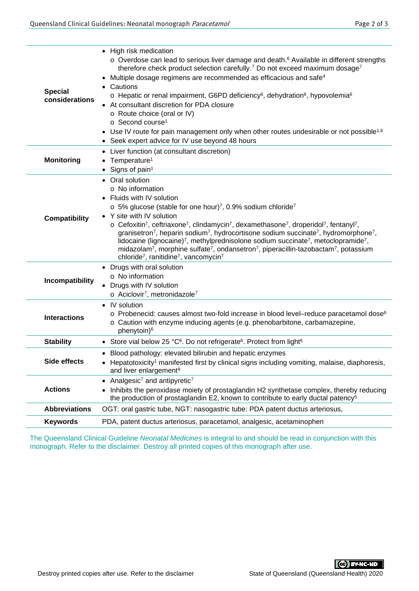| <b>Special</b><br>considerations | • High risk medication<br>$\circ$ Overdose can lead to serious liver damage and death. $\circ$ Available in different strengths<br>therefore check product selection carefully. <sup>7</sup> Do not exceed maximum dosage <sup>7</sup><br>Multiple dosage regimens are recommended as efficacious and safe <sup>4</sup><br>$\bullet$<br>Cautions<br>$\circ$ Hepatic or renal impairment, G6PD deficiency <sup>6</sup> , dehydration <sup>6</sup> , hypovolemia <sup>6</sup><br>At consultant discretion for PDA closure<br>o Route choice (oral or IV)<br>$\circ$ Second course <sup>1</sup><br>• Use IV route for pain management only when other routes undesirable or not possible <sup>1,6</sup><br>• Seek expert advice for IV use beyond 48 hours                                                                                                  |  |  |  |
|----------------------------------|----------------------------------------------------------------------------------------------------------------------------------------------------------------------------------------------------------------------------------------------------------------------------------------------------------------------------------------------------------------------------------------------------------------------------------------------------------------------------------------------------------------------------------------------------------------------------------------------------------------------------------------------------------------------------------------------------------------------------------------------------------------------------------------------------------------------------------------------------------|--|--|--|
| <b>Monitoring</b>                | Liver function (at consultant discretion)<br>Temperature <sup>1</sup><br>Signs of pain <sup>1</sup><br>$\bullet$                                                                                                                                                                                                                                                                                                                                                                                                                                                                                                                                                                                                                                                                                                                                         |  |  |  |
| <b>Compatibility</b>             | • Oral solution<br>$\circ$ No information<br>Fluids with IV solution<br>$\circ$ 5% glucose (stable for one hour) <sup>7</sup> , 0.9% sodium chloride <sup>7</sup><br>• Y site with IV solution<br>o Cefoxitin <sup>7</sup> , ceftriaxone <sup>7</sup> , clindamycin <sup>7</sup> , dexamethasone <sup>7</sup> , droperidol <sup>7</sup> , fentanyl <sup>7</sup> ,<br>granisetron <sup>7</sup> , heparin sodium <sup>7</sup> , hydrocortisone sodium succinate <sup>7</sup> , hydromorphone <sup>7</sup> ,<br>lidocaine (lignocaine) <sup>7</sup> , methylprednisolone sodium succinate <sup>7</sup> , metoclopramide <sup>7</sup> ,<br>midazolam <sup>7</sup> , morphine sulfate <sup>7</sup> , ondansetron <sup>7</sup> , piperacillin-tazobactam <sup>7</sup> , potassium<br>chloride <sup>7</sup> , ranitidine <sup>7</sup> , vancomycin <sup>7</sup> |  |  |  |
| Incompatibility                  | • Drugs with oral solution<br>o No information<br>Drugs with IV solution<br>$\circ$ Aciclovir <sup>7</sup> , metronidazole <sup>7</sup>                                                                                                                                                                                                                                                                                                                                                                                                                                                                                                                                                                                                                                                                                                                  |  |  |  |
| <b>Interactions</b>              | IV solution<br>$\bullet$<br>$\circ$ Probenecid: causes almost two-fold increase in blood level-reduce paracetamol dose <sup>6</sup><br>o Caution with enzyme inducing agents (e.g. phenobarbitone, carbamazepine,<br>phenytoin) <sup>6</sup>                                                                                                                                                                                                                                                                                                                                                                                                                                                                                                                                                                                                             |  |  |  |
| <b>Stability</b>                 | • Store vial below 25 °C <sup>6</sup> . Do not refrigerate <sup>6</sup> . Protect from light <sup>6</sup>                                                                                                                                                                                                                                                                                                                                                                                                                                                                                                                                                                                                                                                                                                                                                |  |  |  |
| Side effects                     | • Blood pathology: elevated bilirubin and hepatic enzymes<br>• Hepatotoxicity <sup>1</sup> manifested first by clinical signs including vomiting, malaise, diaphoresis,<br>and liver enlargement <sup>9</sup>                                                                                                                                                                                                                                                                                                                                                                                                                                                                                                                                                                                                                                            |  |  |  |
| <b>Actions</b>                   | Analgesic <sup>7</sup> and antipyretic <sup>7</sup><br>Inhibits the peroxidase moiety of prostaglandin H2 synthetase complex, thereby reducing<br>the production of prostaglandin E2, known to contribute to early ductal patency <sup>5</sup>                                                                                                                                                                                                                                                                                                                                                                                                                                                                                                                                                                                                           |  |  |  |
| <b>Abbreviations</b>             | OGT: oral gastric tube, NGT: nasogastric tube: PDA patent ductus arteriosus,                                                                                                                                                                                                                                                                                                                                                                                                                                                                                                                                                                                                                                                                                                                                                                             |  |  |  |
| <b>Keywords</b>                  | PDA, patent ductus arteriosus, paracetamol, analgesic, acetaminophen                                                                                                                                                                                                                                                                                                                                                                                                                                                                                                                                                                                                                                                                                                                                                                                     |  |  |  |

The Queensland Clinical Guideline *Neonatal Medicines* is integral to and should be read in conjunction with this monograph. Refer to the disclaimer. Destroy all printed copies of this monograph after use.